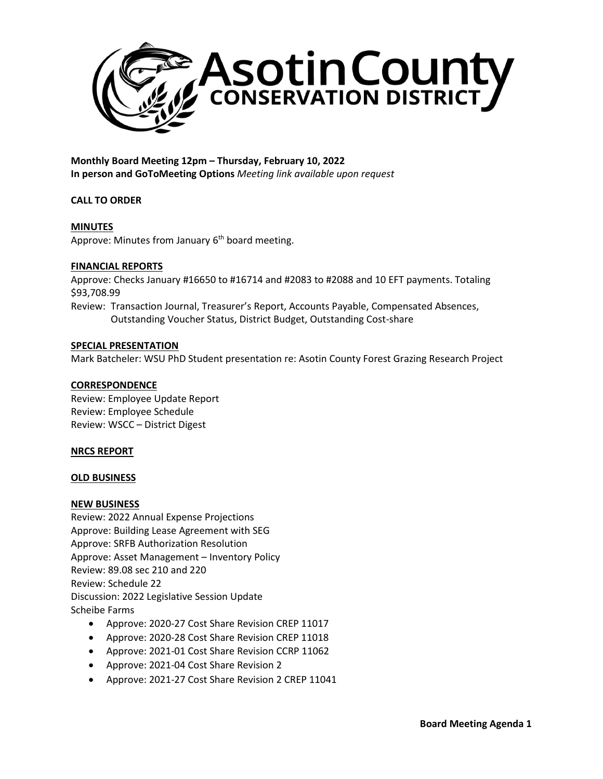

**Monthly Board Meeting 12pm – Thursday, February 10, 2022 In person and GoToMeeting Options** *Meeting link available upon request*

# **CALL TO ORDER**

# **MINUTES**

Approve: Minutes from January  $6<sup>th</sup>$  board meeting.

#### **FINANCIAL REPORTS**

Approve: Checks January #16650 to #16714 and #2083 to #2088 and 10 EFT payments. Totaling \$93,708.99

Review: Transaction Journal, Treasurer's Report, Accounts Payable, Compensated Absences, Outstanding Voucher Status, District Budget, Outstanding Cost-share

#### **SPECIAL PRESENTATION**

Mark Batcheler: WSU PhD Student presentation re: Asotin County Forest Grazing Research Project

# **CORRESPONDENCE**

Review: Employee Update Report Review: Employee Schedule Review: WSCC – District Digest

# **NRCS REPORT**

# **OLD BUSINESS**

#### **NEW BUSINESS**

Review: 2022 Annual Expense Projections Approve: Building Lease Agreement with SEG Approve: SRFB Authorization Resolution Approve: Asset Management – Inventory Policy Review: 89.08 sec 210 and 220 Review: Schedule 22 Discussion: 2022 Legislative Session Update Scheibe Farms

- Approve: 2020-27 Cost Share Revision CREP 11017
- Approve: 2020-28 Cost Share Revision CREP 11018
- Approve: 2021-01 Cost Share Revision CCRP 11062
- Approve: 2021-04 Cost Share Revision 2
- Approve: 2021-27 Cost Share Revision 2 CREP 11041